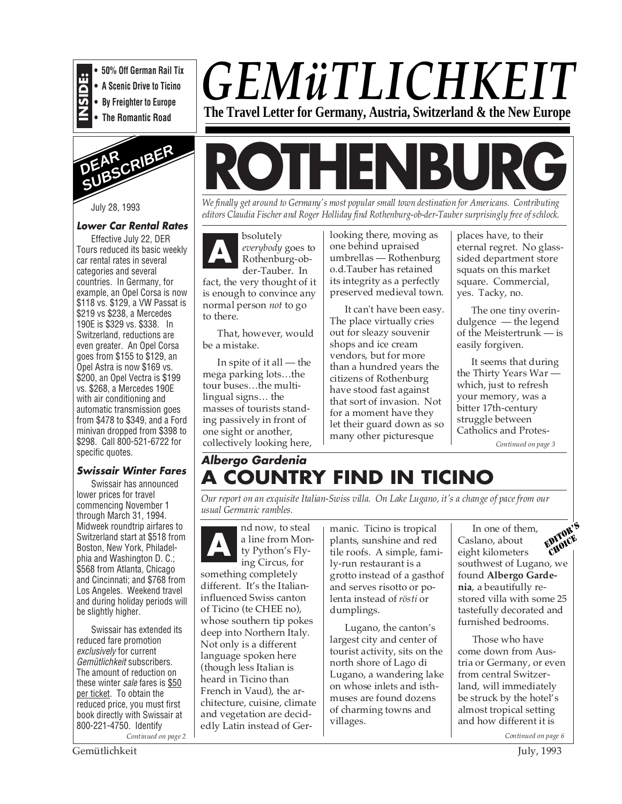

**• 50% Off German Rail Tix**

**• A Scenic Drive to Ticino**

**• By Freighter to Europe • The Romantic Road**



July 28, 1993

# **Lower Car Rental Rates**

Effective July 22, DER Tours reduced its basic weekly car rental rates in several categories and several countries. In Germany, for example, an Opel Corsa is now \$118 vs. \$129, a VW Passat is \$219 vs \$238, a Mercedes 190E is \$329 vs. \$338. In Switzerland, reductions are even greater. An Opel Corsa goes from \$155 to \$129, an Opel Astra is now \$169 vs. \$200, an Opel Vectra is \$199 vs. \$268, a Mercedes 190E with air conditioning and automatic transmission goes from \$478 to \$349, and a Ford minivan dropped from \$398 to \$298. Call 800-521-6722 for specific quotes.

# **Swissair Winter Fares**

Swissair has announced lower prices for travel commencing November 1 through March 31, 1994. Midweek roundtrip airfares to Switzerland start at \$518 from Boston, New York, Philadelphia and Washington D. C.; \$568 from Atlanta, Chicago and Cincinnati; and \$768 from Los Angeles. Weekend travel and during holiday periods will be slightly higher.

Swissair has extended its reduced fare promotion exclusively for current Gemütlichkeit subscribers. The amount of reduction on these winter sale fares is \$50 per ticket. To obtain the reduced price, you must first book directly with Swissair at 800-221-4750. Identify

# *GEMüTLICHKEIT* **The Travel Letter for Germany, Austria, Switzerland & the New Europe**

**ROTHENBURG**

*We finally get around to Germany's most popular small town destination for Americans. Contributing editors Claudia Fischer and Roger Holliday find Rothenburg-ob-der-Tauber surprisingly free of schlock.*

bsolutely *everybody* goes to Rothenburg-obder-Tauber. In fact, the very thought of it is enough to convince any normal person *not* to go to there. **A**

That, however, would be a mistake.

In spite of it all — the mega parking lots…the tour buses…the multilingual signs… the masses of tourists standing passively in front of one sight or another, collectively looking here, looking there, moving as one behind upraised umbrellas — Rothenburg o.d.Tauber has retained its integrity as a perfectly preserved medieval town.

It can't have been easy. The place virtually cries out for sleazy souvenir shops and ice cream vendors, but for more than a hundred years the citizens of Rothenburg have stood fast against that sort of invasion. Not for a moment have they let their guard down as so many other picturesque

places have, to their eternal regret. No glasssided department store squats on this market square. Commercial, yes. Tacky, no.

The one tiny overindulgence — the legend of the Meistertrunk — is easily forgiven.

It seems that during the Thirty Years War which, just to refresh your memory, was a bitter 17th-century struggle between Catholics and Protes-*Continued on page 3*

**Albergo Gardenia A COUNTRY FIND IN TICINO**

*Our report on an exquisite Italian-Swiss villa. On Lake Lugano, it's a change of pace from our usual Germanic rambles.*

nd now, to steal a line from Monty Python's Flying Circus, for something completely different. It's the Italianinfluenced Swiss canton of Ticino (te CHEE no), whose southern tip pokes deep into Northern Italy. Not only is a different language spoken here (though less Italian is heard in Ticino than French in Vaud), the architecture, cuisine, climate and vegetation are decidedly Latin instead of Ger-**A** a line from Mon-<br>
ty Python's Fly-<br>
ing Circus for<br>
the manic. Ticino is tropical<br>
ty Python's Fly-<br>
the roofs. A simple, fam

plants, sunshine and red tile roofs. A simple, family-run restaurant is a grotto instead of a gasthof and serves risotto or polenta instead of *rösti* or dumplings.

Lugano, the canton's largest city and center of tourist activity, sits on the north shore of Lago di Lugano, a wandering lake on whose inlets and isthmuses are found dozens of charming towns and villages.

In one of them, Caslano, about eight kilometers southwest of Lugano, we found **Albergo Gardenia**, a beautifully restored villa with some 25 tastefully decorated and furnished bedrooms. EDITOR'S CHOICE

Those who have come down from Austria or Germany, or even from central Switzerland, will immediately be struck by the hotel's almost tropical setting and how different it is

*Continued on page 2 Continued on page 6*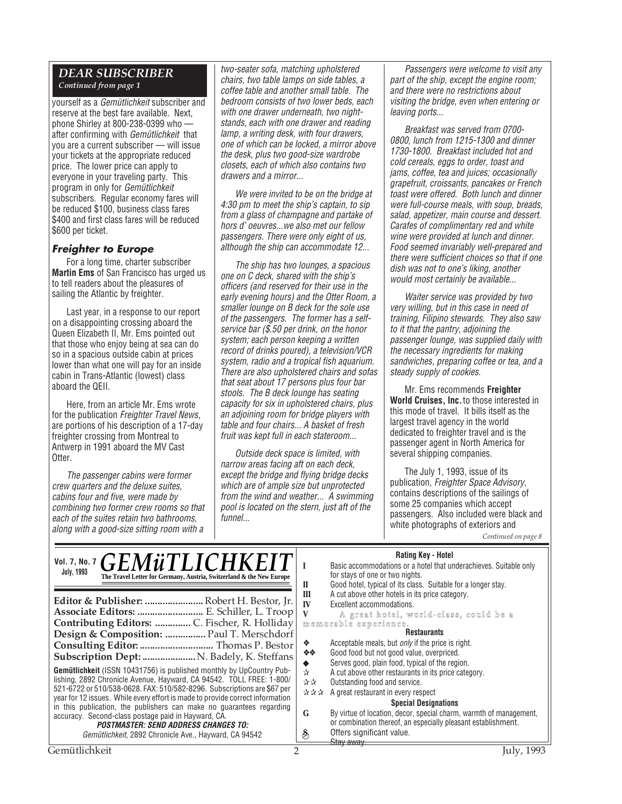# *DEAR SUBSCRIBER*

*Continued from page 1*

yourself as a Gemütlichkeit subscriber and reserve at the best fare available. Next, phone Shirley at 800-238-0399 who after confirming with Gemütlichkeit that you are a current subscriber — will issue your tickets at the appropriate reduced price. The lower price can apply to everyone in your traveling party. This program in only for Gemütlichkeit subscribers. Regular economy fares will be reduced \$100, business class fares \$400 and first class fares will be reduced \$600 per ticket.

# **Freighter to Europe**

For a long time, charter subscriber **Martin Ems** of San Francisco has urged us to tell readers about the pleasures of sailing the Atlantic by freighter.

Last year, in a response to our report on a disappointing crossing aboard the Queen Elizabeth II, Mr. Ems pointed out that those who enjoy being at sea can do so in a spacious outside cabin at prices lower than what one will pay for an inside cabin in Trans-Atlantic (lowest) class aboard the QEII.

Here, from an article Mr. Ems wrote for the publication Freighter Travel News, are portions of his description of a 17-day freighter crossing from Montreal to Antwerp in 1991 aboard the MV Cast Otter.

The passenger cabins were former crew quarters and the deluxe suites, cabins four and five, were made by combining two former crew rooms so that each of the suites retain two bathrooms, along with a good-size sitting room with a

two-seater sofa, matching upholstered chairs, two table lamps on side tables, a coffee table and another small table. The bedroom consists of two lower beds, each with one drawer underneath, two nightstands, each with one drawer and reading lamp, a writing desk, with four drawers, one of which can be locked, a mirror above the desk, plus two good-size wardrobe closets, each of which also contains two drawers and a mirror...

We were invited to be on the bridge at 4:30 pm to meet the ship's captain, to sip from a glass of champagne and partake of hors d' oeuvres...we also met our fellow passengers. There were only eight of us, although the ship can accommodate 12...

The ship has two lounges, a spacious one on C deck, shared with the ship's officers (and reserved for their use in the early evening hours) and the Otter Room, a smaller lounge on B deck for the sole use of the passengers. The former has a selfservice bar (\$.50 per drink, on the honor system; each person keeping a written record of drinks poured), a television/VCR system, radio and a tropical fish aquarium. There are also upholstered chairs and sofas that seat about 17 persons plus four bar stools. The B deck lounge has seating capacity for six in upholstered chairs, plus an adjoining room for bridge players with table and four chairs... A basket of fresh fruit was kept full in each stateroom...

Outside deck space is limited, with narrow areas facing aft on each deck, except the bridge and flying bridge decks which are of ample size but unprotected from the wind and weather... A swimming pool is located on the stern, just aft of the funnel...

Passengers were welcome to visit any part of the ship, except the engine room; and there were no restrictions about visiting the bridge, even when entering or leaving ports...

Breakfast was served from 0700- 0800, lunch from 1215-1300 and dinner 1730-1800. Breakfast included hot and cold cereals, eggs to order, toast and jams, coffee, tea and juices; occasionally grapefruit, croissants, pancakes or French toast were offered. Both lunch and dinner were full-course meals, with soup, breads, salad, appetizer, main course and dessert. Carafes of complimentary red and white wine were provided at lunch and dinner. Food seemed invariably well-prepared and there were sufficient choices so that if one dish was not to one's liking, another would most certainly be available...

Waiter service was provided by two very willing, but in this case in need of training, Filipino stewards. They also saw to it that the pantry, adjoining the passenger lounge, was supplied daily with the necessary ingredients for making sandwiches, preparing coffee or tea, and a steady supply of cookies.

Mr. Ems recommends **Freighter World Cruises, Inc.** to those interested in this mode of travel. It bills itself as the largest travel agency in the world dedicated to freighter travel and is the passenger agent in North America for several shipping companies.

The July 1, 1993, issue of its publication, Freighter Space Advisory, contains descriptions of the sailings of some 25 companies which accept passengers. Also included were black and white photographs of exteriors and *Continued on page 8*

#### **Rating Key - Hotel**

| Vol. 7, No. 7 <b>GEMÜTLICHKEIT</b><br><b>July, 1993</b><br>The Travel Letter for Germany, Austria, Switzerland & the New Europe<br>Editor & Publisher:  Robert H. Bestor, Jr.<br>Associate Editors:  E. Schiller, L. Troop<br>Design & Composition:  Paul T. Merschdorf                                                                                                                                                                                                                                                                                | natility New Protect<br>Basic accommodations or a hotel that underachieves. Suitable only<br>for stays of one or two nights.<br>Good hotel, typical of its class. Suitable for a longer stay.<br>П<br>A cut above other hotels in its price category.<br>Ш<br>IV<br>Excellent accommodations.<br>A great hotel, world-class, could be a<br>memorable experience.<br><b>Restaurants</b><br>Acceptable meals, but <i>only</i> if the price is right.<br>❖ |
|--------------------------------------------------------------------------------------------------------------------------------------------------------------------------------------------------------------------------------------------------------------------------------------------------------------------------------------------------------------------------------------------------------------------------------------------------------------------------------------------------------------------------------------------------------|---------------------------------------------------------------------------------------------------------------------------------------------------------------------------------------------------------------------------------------------------------------------------------------------------------------------------------------------------------------------------------------------------------------------------------------------------------|
| Consulting Editor:  Thomas P. Bestor<br><b>Subscription Dept:  N. Badely, K. Steffans</b>                                                                                                                                                                                                                                                                                                                                                                                                                                                              | Good food but not good value, overpriced.<br>- 秦 秦 。                                                                                                                                                                                                                                                                                                                                                                                                    |
| Gemütlichkeit (ISSN 10431756) is published monthly by UpCountry Pub-<br>lishing, 2892 Chronicle Avenue, Hayward, CA 94542. TOLL FREE: 1-800/<br>521-6722 or 510/538-0628. FAX: 510/582-8296. Subscriptions are \$67 per<br>year for 12 issues. While every effort is made to provide correct information<br>in this publication, the publishers can make no quarantees regarding<br>accuracy. Second-class postage paid in Hayward, CA.<br><i><b>POSTMASTER: SEND ADDRESS CHANGES TO:</b></i><br>Gemütlichkeit, 2892 Chronicle Ave., Hayward, CA 94542 | Serves good, plain food, typical of the region.<br>A cut above other restaurants in its price category.<br>$\chi$<br>Outstanding food and service.<br>☆☆<br>A great restaurant in every respect<br>***<br><b>Special Designations</b><br>By virtue of location, decor, special charm, warmth of management,<br>G<br>or combination thereof, an especially pleasant establishment.<br>Offers significant value.<br>$\delta$<br>Stay away.                |
| Gemütlichkeit                                                                                                                                                                                                                                                                                                                                                                                                                                                                                                                                          | July, 1993                                                                                                                                                                                                                                                                                                                                                                                                                                              |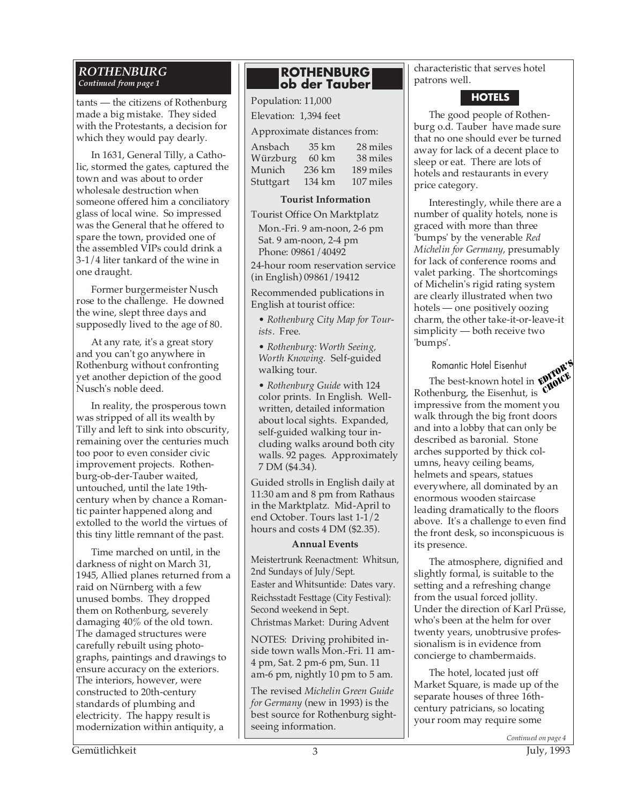#### *ROTHENBURG Continued from page 1*

tants — the citizens of Rothenburg made a big mistake. They sided with the Protestants, a decision for which they would pay dearly.

In 1631, General Tilly, a Catholic, stormed the gates, captured the town and was about to order wholesale destruction when someone offered him a conciliatory glass of local wine. So impressed was the General that he offered to spare the town, provided one of the assembled VIPs could drink a 3-1/4 liter tankard of the wine in one draught.

Former burgermeister Nusch rose to the challenge. He downed the wine, slept three days and supposedly lived to the age of 80.

At any rate, it's a great story and you can't go anywhere in Rothenburg without confronting yet another depiction of the good Nusch's noble deed.

In reality, the prosperous town was stripped of all its wealth by Tilly and left to sink into obscurity, remaining over the centuries much too poor to even consider civic improvement projects. Rothenburg-ob-der-Tauber waited, untouched, until the late 19thcentury when by chance a Romantic painter happened along and extolled to the world the virtues of this tiny little remnant of the past.

Time marched on until, in the darkness of night on March 31, 1945, Allied planes returned from a raid on Nürnberg with a few unused bombs. They dropped them on Rothenburg, severely damaging 40% of the old town. The damaged structures were carefully rebuilt using photographs, paintings and drawings to ensure accuracy on the exteriors. The interiors, however, were constructed to 20th-century standards of plumbing and electricity. The happy result is modernization within antiquity, a

# **ROTHENBURG ob der Tauber**

Population: 11,000 Elevation: 1,394 feet

Approximate distances from:

| Ansbach   | 35 km           | 28 miles  |
|-----------|-----------------|-----------|
| Würzburg  | $60 \text{ km}$ | 38 miles  |
| Munich    | 236 km          | 189 miles |
| Stuttgart | 134 km          | 107 miles |
|           |                 |           |

# **Tourist Information**

Tourist Office On Marktplatz Mon.-Fri. 9 am-noon, 2-6 pm Sat. 9 am-noon, 2-4 pm

Phone: 09861/40492 24-hour room reservation service

(in English) 09861/19412 Recommended publications in English at tourist office:

• *Rothenburg City Map for Tourists*. Free.

• *Rothenburg: Worth Seeing, Worth Knowing.* Self-guided walking tour.

• *Rothenburg Guide* with 124 color prints. In English. Wellwritten, detailed information about local sights. Expanded, self-guided walking tour including walks around both city walls. 92 pages. Approximately 7 DM (\$4.34).

Guided strolls in English daily at 11:30 am and 8 pm from Rathaus in the Marktplatz. Mid-April to end October. Tours last 1-1/2 hours and costs 4 DM (\$2.35).

# **Annual Events**

Meistertrunk Reenactment: Whitsun, 2nd Sundays of July/Sept. Easter and Whitsuntide: Dates vary. Reichsstadt Festtage (City Festival): Second weekend in Sept. Christmas Market: During Advent

NOTES: Driving prohibited inside town walls Mon.-Fri. 11 am-4 pm, Sat. 2 pm-6 pm, Sun. 11 am-6 pm, nightly 10 pm to 5 am.

The revised *Michelin Green Guide for Germany* (new in 1993) is the best source for Rothenburg sightseeing information.

characteristic that serves hotel patrons well.

# **HOTELS**

The good people of Rothenburg o.d. Tauber have made sure that no one should ever be turned away for lack of a decent place to sleep or eat. There are lots of hotels and restaurants in every price category.

Interestingly, while there are a number of quality hotels, none is graced with more than three 'bumps' by the venerable *Red Michelin for Germany*, presumably for lack of conference rooms and valet parking. The shortcomings of Michelin's rigid rating system are clearly illustrated when two hotels — one positively oozing charm, the other take-it-or-leave-it simplicity — both receive two 'bumps'.

# Romantic Hotel Eisenhut

Romantic Hotel Eisenhut<br>The best-known hotel in **ENINCE** Rothenburg, the Eisenhut, is impressive from the moment you walk through the big front doors and into a lobby that can only be described as baronial. Stone arches supported by thick columns, heavy ceiling beams, helmets and spears, statues everywhere, all dominated by an enormous wooden staircase leading dramatically to the floors above. It's a challenge to even find the front desk, so inconspicuous is its presence. CHOICE

The atmosphere, dignified and slightly formal, is suitable to the setting and a refreshing change from the usual forced jollity. Under the direction of Karl Prüsse, who's been at the helm for over twenty years, unobtrusive professionalism is in evidence from concierge to chambermaids.

The hotel, located just off Market Square, is made up of the separate houses of three 16thcentury patricians, so locating your room may require some

Gemütlichkeit 3 July, 1993

*Continued on page 4*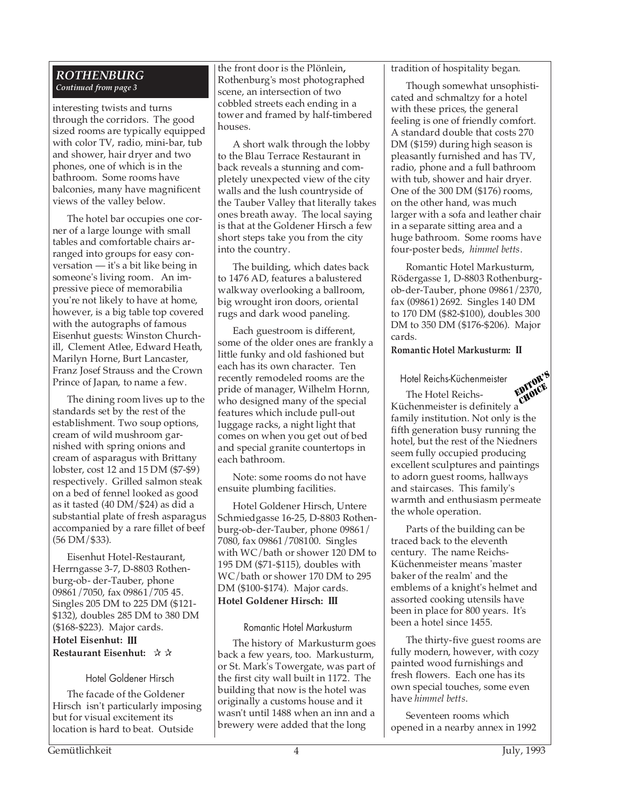#### *ROTHENBURG Continued from page 3*

interesting twists and turns through the corridors. The good sized rooms are typically equipped with color TV, radio, mini-bar, tub and shower, hair dryer and two phones, one of which is in the bathroom. Some rooms have balconies, many have magnificent views of the valley below.

The hotel bar occupies one corner of a large lounge with small tables and comfortable chairs arranged into groups for easy conversation — it's a bit like being in someone's living room. An impressive piece of memorabilia you're not likely to have at home, however, is a big table top covered with the autographs of famous Eisenhut guests: Winston Churchill, Clement Atlee, Edward Heath, Marilyn Horne, Burt Lancaster, Franz Josef Strauss and the Crown Prince of Japan, to name a few.

The dining room lives up to the standards set by the rest of the establishment. Two soup options, cream of wild mushroom garnished with spring onions and cream of asparagus with Brittany lobster, cost 12 and 15 DM (\$7-\$9) respectively. Grilled salmon steak on a bed of fennel looked as good as it tasted (40 DM/\$24) as did a substantial plate of fresh asparagus accompanied by a rare fillet of beef (56 DM/\$33).

Eisenhut Hotel-Restaurant, Herrngasse 3-7, D-8803 Rothenburg-ob- der-Tauber, phone 09861/7050, fax 09861/705 45. Singles 205 DM to 225 DM (\$121- \$132), doubles 285 DM to 380 DM (\$168-\$223). Major cards.

# **Hotel Eisenhut: III Restaurant Eisenhut:** ✰ ✰

# Hotel Goldener Hirsch

The facade of the Goldener Hirsch isn't particularly imposing but for visual excitement its location is hard to beat. Outside

the front door is the Plönlein**,** Rothenburg's most photographed scene, an intersection of two cobbled streets each ending in a tower and framed by half-timbered houses.

A short walk through the lobby to the Blau Terrace Restaurant in back reveals a stunning and completely unexpected view of the city walls and the lush countryside of the Tauber Valley that literally takes ones breath away. The local saying is that at the Goldener Hirsch a few short steps take you from the city into the country.

The building, which dates back to 1476 AD, features a balustered walkway overlooking a ballroom, big wrought iron doors, oriental rugs and dark wood paneling.

Each guestroom is different, some of the older ones are frankly a little funky and old fashioned but each has its own character. Ten recently remodeled rooms are the pride of manager, Wilhelm Hornn, who designed many of the special features which include pull-out luggage racks, a night light that comes on when you get out of bed and special granite countertops in each bathroom.

Note: some rooms do not have ensuite plumbing facilities.

Hotel Goldener Hirsch, Untere Schmiedgasse 16-25, D-8803 Rothenburg-ob-der-Tauber, phone 09861/ 7080, fax 09861/708100. Singles with WC/bath or shower 120 DM to 195 DM (\$71-\$115), doubles with WC/bath or shower 170 DM to 295 DM (\$100-\$174). Major cards. **Hotel Goldener Hirsch: III**

# Romantic Hotel Markusturm

The history of Markusturm goes back a few years, too. Markusturm, or St. Mark's Towergate, was part of the first city wall built in 1172. The building that now is the hotel was originally a customs house and it wasn't until 1488 when an inn and a brewery were added that the long

# tradition of hospitality began.

Though somewhat unsophisticated and schmaltzy for a hotel with these prices, the general feeling is one of friendly comfort. A standard double that costs 270 DM (\$159) during high season is pleasantly furnished and has TV, radio, phone and a full bathroom with tub, shower and hair dryer. One of the 300 DM (\$176) rooms, on the other hand, was much larger with a sofa and leather chair in a separate sitting area and a huge bathroom. Some rooms have four-poster beds, *himmel betts*.

Romantic Hotel Markusturm, Rödergasse 1, D-8803 Rothenburgob-der-Tauber, phone 09861/2370, fax (09861) 2692. Singles 140 DM to 170 DM (\$82-\$100), doubles 300 DM to 350 DM (\$176-\$206). Major cards.

# **Romantic Hotel Markusturm: II**

Hotel Reichs-Küchenmeister

The Hotel Reichs-Küchenmeister is definitely a family institution. Not only is the fifth generation busy running the hotel, but the rest of the Niedners seem fully occupied producing excellent sculptures and paintings to adorn guest rooms, hallways and staircases. This family's warmth and enthusiasm permeate the whole operation. EDITOR' CHOICE

Parts of the building can be traced back to the eleventh century. The name Reichs-Küchenmeister means 'master baker of the realm' and the emblems of a knight's helmet and assorted cooking utensils have been in place for 800 years. It's been a hotel since 1455.

The thirty-five guest rooms are fully modern, however, with cozy painted wood furnishings and fresh flowers. Each one has its own special touches, some even have *himmel betts*.

Seventeen rooms which opened in a nearby annex in 1992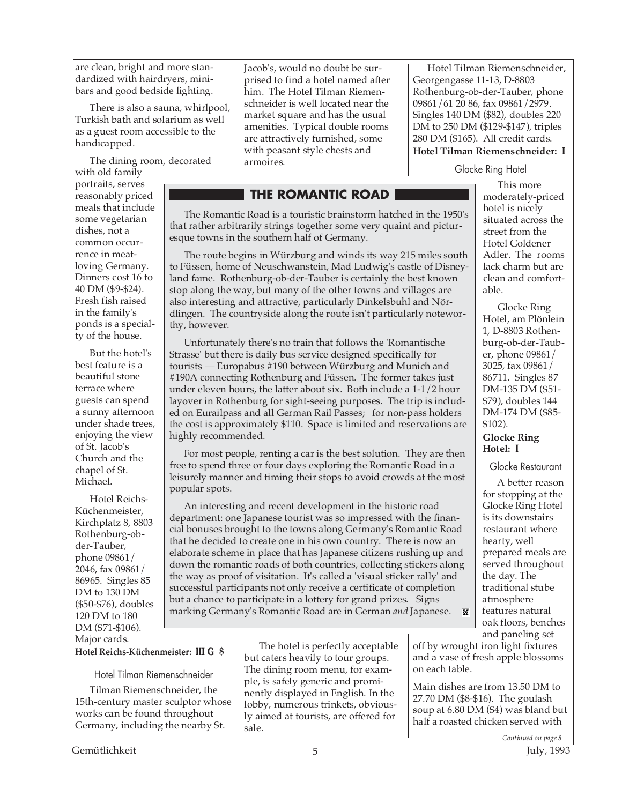are clean, bright and more standardized with hairdryers, minibars and good bedside lighting.

There is also a sauna, whirlpool, Turkish bath and solarium as well as a guest room accessible to the handicapped.

The dining room, decorated

thy, however.

highly recommended.

popular spots.

with old family portraits, serves reasonably priced meals that include some vegetarian dishes, not a common occurrence in meatloving Germany. Dinners cost 16 to 40 DM (\$9-\$24). Fresh fish raised in the family's ponds is a specialty of the house.

But the hotel's best feature is a beautiful stone terrace where guests can spend a sunny afternoon under shade trees, enjoying the view of St. Jacob's Church and the chapel of St. Michael.

Hotel Reichs-Küchenmeister, Kirchplatz 8, 8803 Rothenburg-obder-Tauber, phone 09861/ 2046, fax 09861/ 86965. Singles 85 DM to 130 DM (\$50-\$76), doubles 120 DM to 180 DM (\$71-\$106). Major cards.

Jacob's, would no doubt be surprised to find a hotel named after him. The Hotel Tilman Riemenschneider is well located near the market square and has the usual amenities. Typical double rooms are attractively furnished, some with peasant style chests and armoires.

**THE ROMANTIC ROAD**

esque towns in the southern half of Germany.

The Romantic Road is a touristic brainstorm hatched in the 1950's that rather arbitrarily strings together some very quaint and pictur-

The route begins in Würzburg and winds its way 215 miles south to Füssen, home of Neuschwanstein, Mad Ludwig's castle of Disneyland fame. Rothenburg-ob-der-Tauber is certainly the best known stop along the way, but many of the other towns and villages are also interesting and attractive, particularly Dinkelsbuhl and Nördlingen. The countryside along the route isn't particularly notewor-

Unfortunately there's no train that follows the 'Romantische Strasse' but there is daily bus service designed specifically for tourists — Europabus #190 between Würzburg and Munich and #190A connecting Rothenburg and Füssen. The former takes just under eleven hours, the latter about six. Both include a 1-1/2 hour layover in Rothenburg for sight-seeing purposes. The trip is included on Eurailpass and all German Rail Passes; for non-pass holders the cost is approximately \$110. Space is limited and reservations are

For most people, renting a car is the best solution. They are then free to spend three or four days exploring the Romantic Road in a leisurely manner and timing their stops to avoid crowds at the most

An interesting and recent development in the historic road department: one Japanese tourist was so impressed with the financial bonuses brought to the towns along Germany's Romantic Road that he decided to create one in his own country. There is now an elaborate scheme in place that has Japanese citizens rushing up and down the romantic roads of both countries, collecting stickers along the way as proof of visitation. It's called a 'visual sticker rally' and successful participants not only receive a certificate of completion but a chance to participate in a lottery for grand prizes. Signs marking Germany's Romantic Road are in German *and* Japanese.

Hotel Tilman Riemenschneider, Georgengasse 11-13, D-8803 Rothenburg-ob-der-Tauber, phone 09861/61 20 86, fax 09861/2979. Singles 140 DM (\$82), doubles 220 DM to 250 DM (\$129-\$147), triples 280 DM (\$165). All credit cards. **Hotel Tilman Riemenschneider: I**

# Glocke Ring Hotel

This more moderately-priced hotel is nicely situated across the street from the Hotel Goldener Adler. The rooms lack charm but are clean and comfortable.

Glocke Ring Hotel, am Plönlein 1, D-8803 Rothenburg-ob-der-Tauber, phone 09861/ 3025, fax 09861/ 86711. Singles 87 DM-135 DM (\$51- \$79), doubles 144 DM-174 DM (\$85- \$102). **Glocke Ring Hotel: I**

Glocke Restaurant

A better reason for stopping at the Glocke Ring Hotel is its downstairs restaurant where hearty, well prepared meals are served throughout the day. The traditional stube atmosphere features natural oak floors, benches and paneling set

**Hotel Reichs-Küchenmeister: III G \$**

Hotel Tilman Riemenschneider

Tilman Riemenschneider, the 15th-century master sculptor whose works can be found throughout Germany, including the nearby St.

The hotel is perfectly acceptable but caters heavily to tour groups. The dining room menu, for example, is safely generic and prominently displayed in English. In the lobby, numerous trinkets, obviously aimed at tourists, are offered for sale.

off by wrought iron light fixtures and a vase of fresh apple blossoms on each table.

Main dishes are from 13.50 DM to 27.70 DM (\$8-\$16). The goulash soup at 6.80 DM (\$4) was bland but half a roasted chicken served with

*Continued on page 8*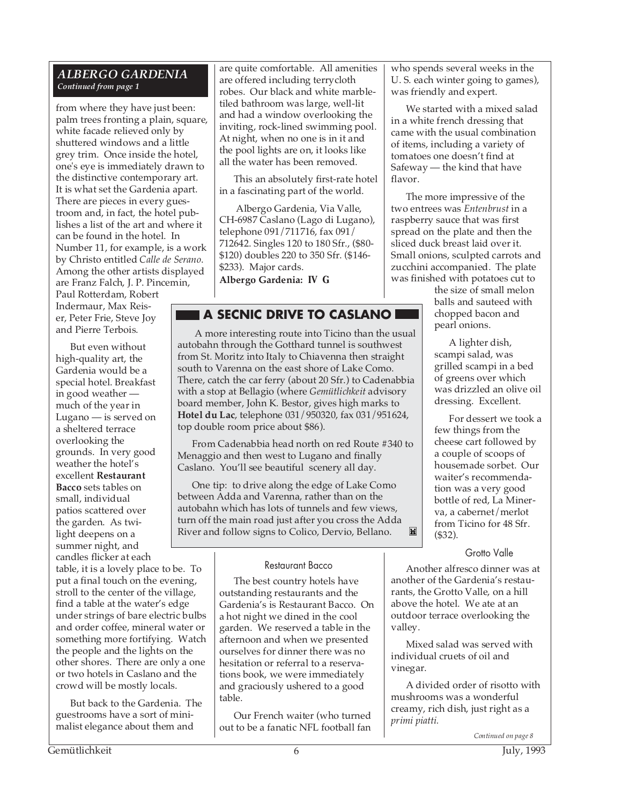# *ALBERGO GARDENIA Continued from page 1*

from where they have just been: palm trees fronting a plain, square, white facade relieved only by shuttered windows and a little grey trim. Once inside the hotel, one's eye is immediately drawn to the distinctive contemporary art. It is what set the Gardenia apart. There are pieces in every guestroom and, in fact, the hotel publishes a list of the art and where it can be found in the hotel. In Number 11, for example, is a work by Christo entitled *Calle de Serano*. Among the other artists displayed are Franz Falch, J. P. Pincemin, Paul Rotterdam, Robert Indermaur, Max Reiser, Peter Frie, Steve Joy

But even without high-quality art, the Gardenia would be a special hotel. Breakfast in good weather much of the year in Lugano — is served on a sheltered terrace overlooking the grounds. In very good weather the hotel's excellent **Restaurant Bacco** sets tables on small, individual patios scattered over the garden. As twilight deepens on a summer night, and candles flicker at each

and Pierre Terbois.

table, it is a lovely place to be. To put a final touch on the evening, stroll to the center of the village, find a table at the water's edge under strings of bare electric bulbs and order coffee, mineral water or something more fortifying. Watch the people and the lights on the other shores. There are only a one or two hotels in Caslano and the crowd will be mostly locals.

But back to the Gardenia. The guestrooms have a sort of minimalist elegance about them and

are quite comfortable. All amenities are offered including terrycloth robes. Our black and white marbletiled bathroom was large, well-lit and had a window overlooking the inviting, rock-lined swimming pool. At night, when no one is in it and the pool lights are on, it looks like all the water has been removed.

This an absolutely first-rate hotel in a fascinating part of the world.

 Albergo Gardenia, Via Valle, CH-6987 Caslano (Lago di Lugano), telephone 091/711716, fax 091/ 712642. Singles 120 to 180 Sfr., (\$80- \$120) doubles 220 to 350 Sfr. (\$146- \$233). Major cards. **Albergo Gardenia: IV G**

# **A SECNIC DRIVE TO CASLANO**

 A more interesting route into Ticino than the usual autobahn through the Gotthard tunnel is southwest from St. Moritz into Italy to Chiavenna then straight south to Varenna on the east shore of Lake Como. There, catch the car ferry (about 20 Sfr.) to Cadenabbia with a stop at Bellagio (where *Gemütlichkeit* advisory board member, John K. Bestor, gives high marks to **Hotel du Lac**, telephone 031/950320, fax 031/951624, top double room price about \$86).

From Cadenabbia head north on red Route #340 to Menaggio and then west to Lugano and finally Caslano. You'll see beautiful scenery all day.

One tip: to drive along the edge of Lake Como between Adda and Varenna, rather than on the autobahn which has lots of tunnels and few views, turn off the main road just after you cross the Adda River and follow signs to Colico, Dervio, Bellano. $\blacksquare$ 

#### Restaurant Bacco

The best country hotels have outstanding restaurants and the Gardenia's is Restaurant Bacco. On a hot night we dined in the cool garden. We reserved a table in the afternoon and when we presented ourselves for dinner there was no hesitation or referral to a reservations book, we were immediately and graciously ushered to a good table.

Our French waiter (who turned out to be a fanatic NFL football fan who spends several weeks in the U. S. each winter going to games), was friendly and expert.

We started with a mixed salad in a white french dressing that came with the usual combination of items, including a variety of tomatoes one doesn't find at Safeway — the kind that have flavor.

The more impressive of the two entrees was *Entenbrust* in a raspberry sauce that was first spread on the plate and then the sliced duck breast laid over it. Small onions, sculpted carrots and zucchini accompanied. The plate was finished with potatoes cut to

the size of small melon balls and sauteed with chopped bacon and pearl onions.

A lighter dish, scampi salad, was grilled scampi in a bed of greens over which was drizzled an olive oil dressing. Excellent.

For dessert we took a few things from the cheese cart followed by a couple of scoops of housemade sorbet. Our waiter's recommendation was a very good bottle of red, La Minerva, a cabernet/merlot from Ticino for 48 Sfr. (\$32).

# Grotto Valle

Another alfresco dinner was at another of the Gardenia's restaurants, the Grotto Valle, on a hill above the hotel. We ate at an outdoor terrace overlooking the valley.

Mixed salad was served with individual cruets of oil and vinegar.

A divided order of risotto with mushrooms was a wonderful creamy, rich dish, just right as a *primi piatti.*

*Continued on page 8*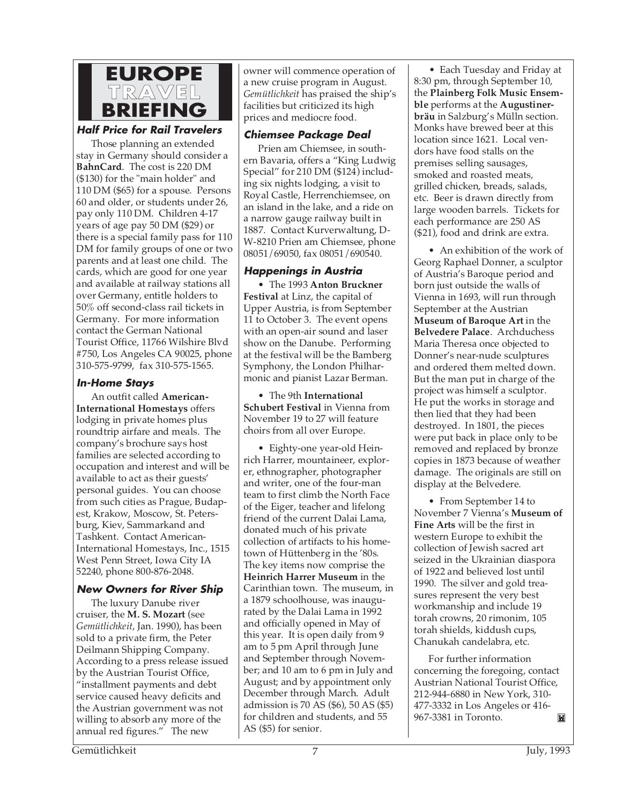

# **Half Price for Rail Travelers**

Those planning an extended stay in Germany should consider a **BahnCard**. The cost is 220 DM (\$130) for the "main holder" and 110 DM (\$65) for a spouse. Persons 60 and older, or students under 26, pay only 110 DM. Children 4-17 years of age pay 50 DM (\$29) or there is a special family pass for 110 DM for family groups of one or two parents and at least one child. The cards, which are good for one year and available at railway stations all over Germany, entitle holders to 50% off second-class rail tickets in Germany. For more information contact the German National Tourist Office, 11766 Wilshire Blvd #750, Los Angeles CA 90025, phone 310-575-9799, fax 310-575-1565.

# **In-Home Stays**

An outfit called **American-International Homestays** offers lodging in private homes plus roundtrip airfare and meals. The company's brochure says host families are selected according to occupation and interest and will be available to act as their guests' personal guides. You can choose from such cities as Prague, Budapest, Krakow, Moscow, St. Petersburg, Kiev, Sammarkand and Tashkent. Contact American-International Homestays, Inc., 1515 West Penn Street, Iowa City IA 52240, phone 800-876-2048.

# **New Owners for River Ship**

The luxury Danube river cruiser, the **M. S. Mozart** (see *Gemütlichkeit*, Jan. 1990), has been sold to a private firm, the Peter Deilmann Shipping Company. According to a press release issued by the Austrian Tourist Office, "installment payments and debt service caused heavy deficits and the Austrian government was not willing to absorb any more of the annual red figures." The new

owner will commence operation of a new cruise program in August. *Gemütlichkeit* has praised the ship's facilities but criticized its high prices and mediocre food.

# **Chiemsee Package Deal**

Prien am Chiemsee, in southern Bavaria, offers a "King Ludwig Special" for 210 DM (\$124) including six nights lodging, a visit to Royal Castle, Herrenchiemsee, on an island in the lake, and a ride on a narrow gauge railway built in 1887. Contact Kurverwaltung, D-W-8210 Prien am Chiemsee, phone 08051/69050, fax 08051/690540.

# **Happenings in Austria**

• The 1993 **Anton Bruckner Festival** at Linz, the capital of Upper Austria, is from September 11 to October 3. The event opens with an open-air sound and laser show on the Danube. Performing at the festival will be the Bamberg Symphony, the London Philharmonic and pianist Lazar Berman.

• The 9th **International Schubert Festival** in Vienna from November 19 to 27 will feature choirs from all over Europe.

• Eighty-one year-old Heinrich Harrer, mountaineer, explorer, ethnographer, photographer and writer, one of the four-man team to first climb the North Face of the Eiger, teacher and lifelong friend of the current Dalai Lama, donated much of his private collection of artifacts to his hometown of Hüttenberg in the '80s. The key items now comprise the **Heinrich Harrer Museum** in the Carinthian town. The museum, in a 1879 schoolhouse, was inaugurated by the Dalai Lama in 1992 and officially opened in May of this year. It is open daily from 9 am to 5 pm April through June and September through November; and 10 am to 6 pm in July and August; and by appointment only December through March. Adult admission is 70 AS (\$6), 50 AS (\$5) for children and students, and 55 AS (\$5) for senior.

• Each Tuesday and Friday at 8:30 pm, through September 10, the **Plainberg Folk Music Ensemble** performs at the **Augustinerbräu** in Salzburg's Mülln section. Monks have brewed beer at this location since 1621. Local vendors have food stalls on the premises selling sausages, smoked and roasted meats, grilled chicken, breads, salads, etc. Beer is drawn directly from large wooden barrels. Tickets for each performance are 250 AS (\$21), food and drink are extra.

• An exhibition of the work of Georg Raphael Donner, a sculptor of Austria's Baroque period and born just outside the walls of Vienna in 1693, will run through September at the Austrian **Museum of Baroque Art** in the **Belvedere Palace**. Archduchess Maria Theresa once objected to Donner's near-nude sculptures and ordered them melted down. But the man put in charge of the project was himself a sculptor. He put the works in storage and then lied that they had been destroyed. In 1801, the pieces were put back in place only to be removed and replaced by bronze copies in 1873 because of weather damage. The originals are still on display at the Belvedere.

• From September 14 to November 7 Vienna's **Museum of Fine Arts** will be the first in western Europe to exhibit the collection of Jewish sacred art seized in the Ukrainian diaspora of 1922 and believed lost until 1990. The silver and gold treasures represent the very best workmanship and include 19 torah crowns, 20 rimonim, 105 torah shields, kiddush cups, Chanukah candelabra, etc.

For further information concerning the foregoing, contact Austrian National Tourist Office, 212-944-6880 in New York, 310- 477-3332 in Los Angeles or 416- 967-3381 in Toronto.M